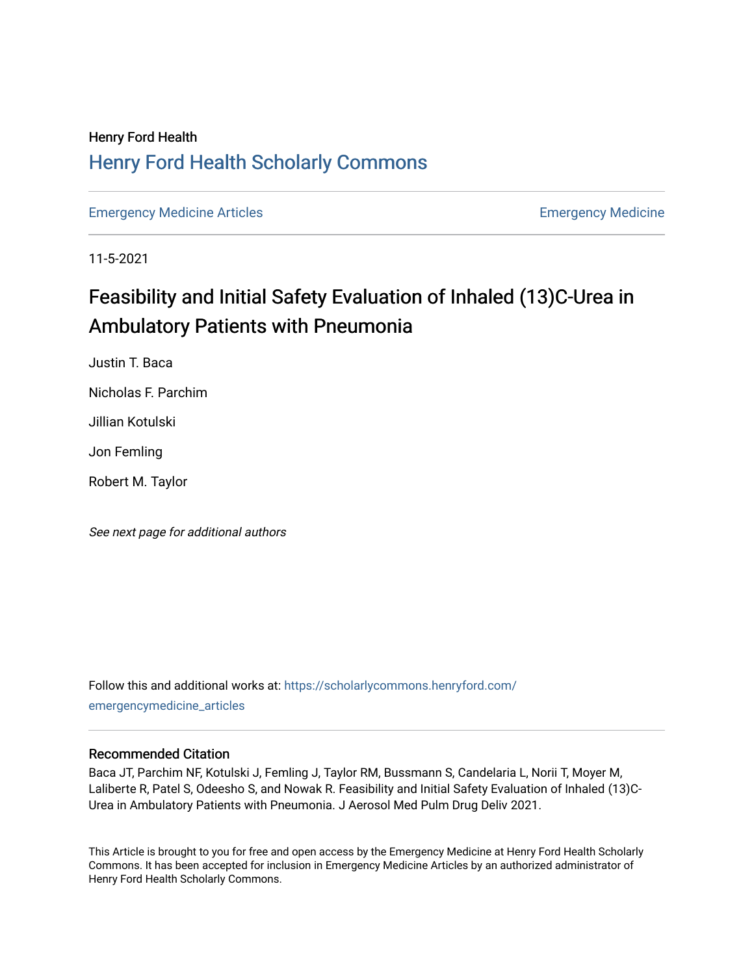## Henry Ford Health [Henry Ford Health Scholarly Commons](https://scholarlycommons.henryford.com/)

[Emergency Medicine Articles](https://scholarlycommons.henryford.com/emergencymedicine_articles) **Emergency Medicine** 

11-5-2021

# Feasibility and Initial Safety Evaluation of Inhaled (13)C-Urea in Ambulatory Patients with Pneumonia

Justin T. Baca

Nicholas F. Parchim

Jillian Kotulski

Jon Femling

Robert M. Taylor

See next page for additional authors

Follow this and additional works at: [https://scholarlycommons.henryford.com/](https://scholarlycommons.henryford.com/emergencymedicine_articles?utm_source=scholarlycommons.henryford.com%2Femergencymedicine_articles%2F251&utm_medium=PDF&utm_campaign=PDFCoverPages) [emergencymedicine\\_articles](https://scholarlycommons.henryford.com/emergencymedicine_articles?utm_source=scholarlycommons.henryford.com%2Femergencymedicine_articles%2F251&utm_medium=PDF&utm_campaign=PDFCoverPages) 

### Recommended Citation

Baca JT, Parchim NF, Kotulski J, Femling J, Taylor RM, Bussmann S, Candelaria L, Norii T, Moyer M, Laliberte R, Patel S, Odeesho S, and Nowak R. Feasibility and Initial Safety Evaluation of Inhaled (13)C-Urea in Ambulatory Patients with Pneumonia. J Aerosol Med Pulm Drug Deliv 2021.

This Article is brought to you for free and open access by the Emergency Medicine at Henry Ford Health Scholarly Commons. It has been accepted for inclusion in Emergency Medicine Articles by an authorized administrator of Henry Ford Health Scholarly Commons.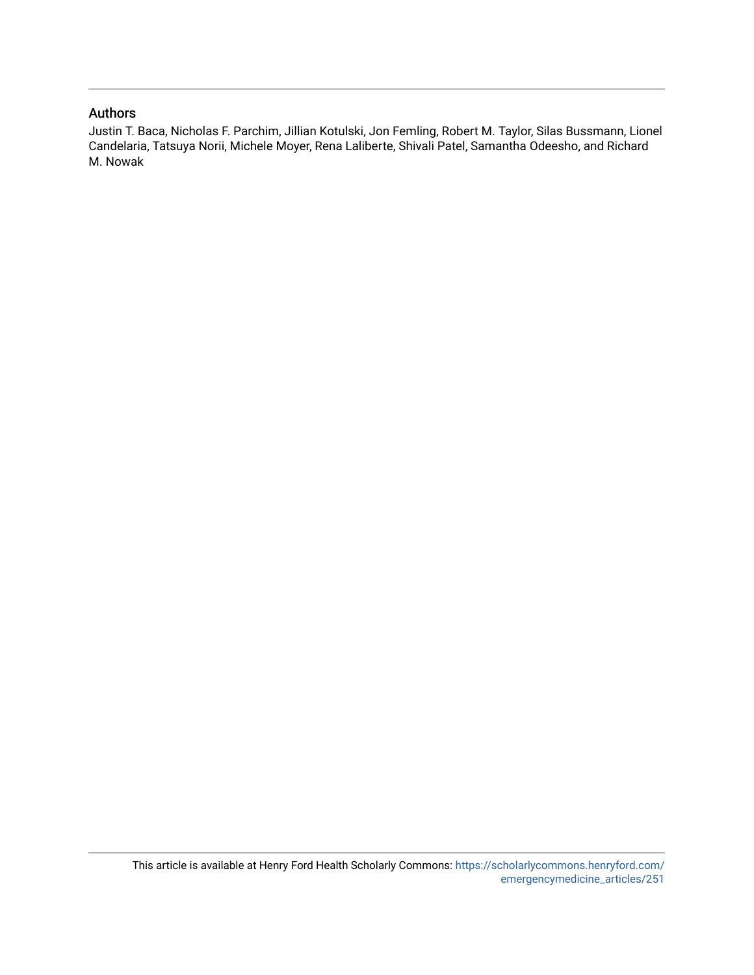### Authors

Justin T. Baca, Nicholas F. Parchim, Jillian Kotulski, Jon Femling, Robert M. Taylor, Silas Bussmann, Lionel Candelaria, Tatsuya Norii, Michele Moyer, Rena Laliberte, Shivali Patel, Samantha Odeesho, and Richard M. Nowak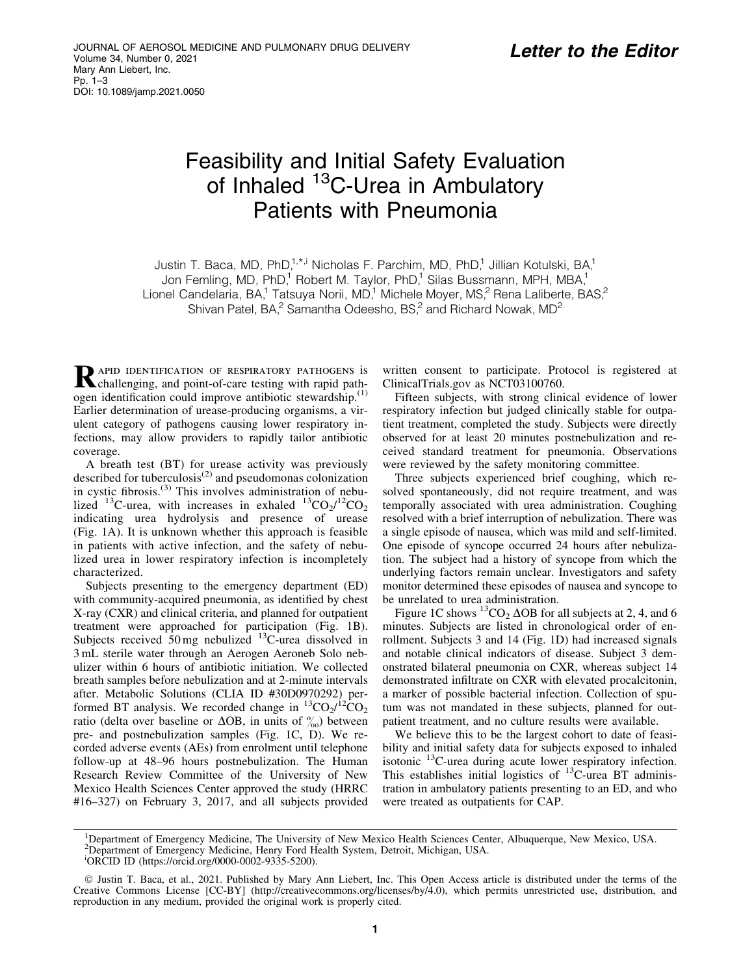## Feasibility and Initial Safety Evaluation of Inhaled <sup>13</sup>C-Urea in Ambulatory Patients with Pneumonia

Justin T. Baca, MD, PhD,<sup>1,\*,i</sup> Nicholas F. Parchim, MD, PhD,<sup>1</sup> Jillian Kotulski, BA,<sup>1</sup> Jon Femling, MD, PhD,<sup>1</sup> Robert M. Taylor, PhD,<sup>1</sup> Silas Bussmann, MPH, MBA,<sup>1</sup> Lionel Candelaria, BA,<sup>1</sup> Tatsuya Norii, MD,<sup>1</sup> Michele Moyer, MS,<sup>2</sup> Rena Laliberte, BAS,<sup>2</sup> Shivan Patel,  $BA_i^2$  Samantha Odeesho,  $BS_i^2$  and Richard Nowak,  $MD^2$ 

RAPID IDENTIFICATION OF RESPIRATORY PATHOGENS is<br>challenging, and point-of-care testing with rapid pathogen identification could improve antibiotic stewardship.<sup>(1)</sup> Earlier determination of urease-producing organisms, a virulent category of pathogens causing lower respiratory infections, may allow providers to rapidly tailor antibiotic coverage.

A breath test (BT) for urease activity was previously described for tuberculosis<sup>(2)</sup> and pseudomonas colonization in cystic fibrosis.<sup>(3)</sup> This involves administration of nebulized <sup>13</sup>C-urea, with increases in exhaled  ${}^{13}CO_2/{}^{12}CO_2$ indicating urea hydrolysis and presence of urease (Fig. 1A). It is unknown whether this approach is feasible in patients with active infection, and the safety of nebulized urea in lower respiratory infection is incompletely characterized.

Subjects presenting to the emergency department (ED) with community-acquired pneumonia, as identified by chest X-ray (CXR) and clinical criteria, and planned for outpatient treatment were approached for participation (Fig. 1B). Subjects received  $50 \text{ mg}$  nebulized  $^{13}$ C-urea dissolved in 3 mL sterile water through an Aerogen Aeroneb Solo nebulizer within 6 hours of antibiotic initiation. We collected breath samples before nebulization and at 2-minute intervals after. Metabolic Solutions (CLIA ID #30D0970292) performed BT analysis. We recorded change in  ${}^{13}CO_2 / {}^{12}CO_2$ ratio (delta over baseline or  $\Delta$ OB, in units of  $\%$ ) between pre- and postnebulization samples (Fig. 1C, D). We recorded adverse events (AEs) from enrolment until telephone follow-up at 48–96 hours postnebulization. The Human Research Review Committee of the University of New Mexico Health Sciences Center approved the study (HRRC #16–327) on February 3, 2017, and all subjects provided

written consent to participate. Protocol is registered at ClinicalTrials.gov as NCT03100760.

Fifteen subjects, with strong clinical evidence of lower respiratory infection but judged clinically stable for outpatient treatment, completed the study. Subjects were directly observed for at least 20 minutes postnebulization and received standard treatment for pneumonia. Observations were reviewed by the safety monitoring committee.

Three subjects experienced brief coughing, which resolved spontaneously, did not require treatment, and was temporally associated with urea administration. Coughing resolved with a brief interruption of nebulization. There was a single episode of nausea, which was mild and self-limited. One episode of syncope occurred 24 hours after nebulization. The subject had a history of syncope from which the underlying factors remain unclear. Investigators and safety monitor determined these episodes of nausea and syncope to be unrelated to urea administration.

Figure 1C shows <sup>13</sup>CO<sub>2</sub>  $\triangle$ OB for all subjects at 2, 4, and 6 minutes. Subjects are listed in chronological order of enrollment. Subjects 3 and 14 (Fig. 1D) had increased signals and notable clinical indicators of disease. Subject 3 demonstrated bilateral pneumonia on CXR, whereas subject 14 demonstrated infiltrate on CXR with elevated procalcitonin, a marker of possible bacterial infection. Collection of sputum was not mandated in these subjects, planned for outpatient treatment, and no culture results were available.

We believe this to be the largest cohort to date of feasibility and initial safety data for subjects exposed to inhaled isotonic 13C-urea during acute lower respiratory infection. This establishes initial logistics of  $^{13}$ C-urea BT administration in ambulatory patients presenting to an ED, and who were treated as outpatients for CAP.

<sup>1</sup>Department of Emergency Medicine, The University of New Mexico Health Sciences Center, Albuquerque, New Mexico, USA. 2 Department of Emergency Medicine, Henry Ford Health System, Detroit, Michigan, USA.

i ORCID ID (<https://orcid.org/0000-0002-9335-5200>).

ª Justin T. Baca, et al., 2021. Published by Mary Ann Liebert, Inc. This Open Access article is distributed under the terms of the Creative Commons License [CC-BY] ([http://creativecommons.org/licenses/by/4.0\)](http://creativecommons.org/licenses/by/4.0), which permits unrestricted use, distribution, and reproduction in any medium, provided the original work is properly cited.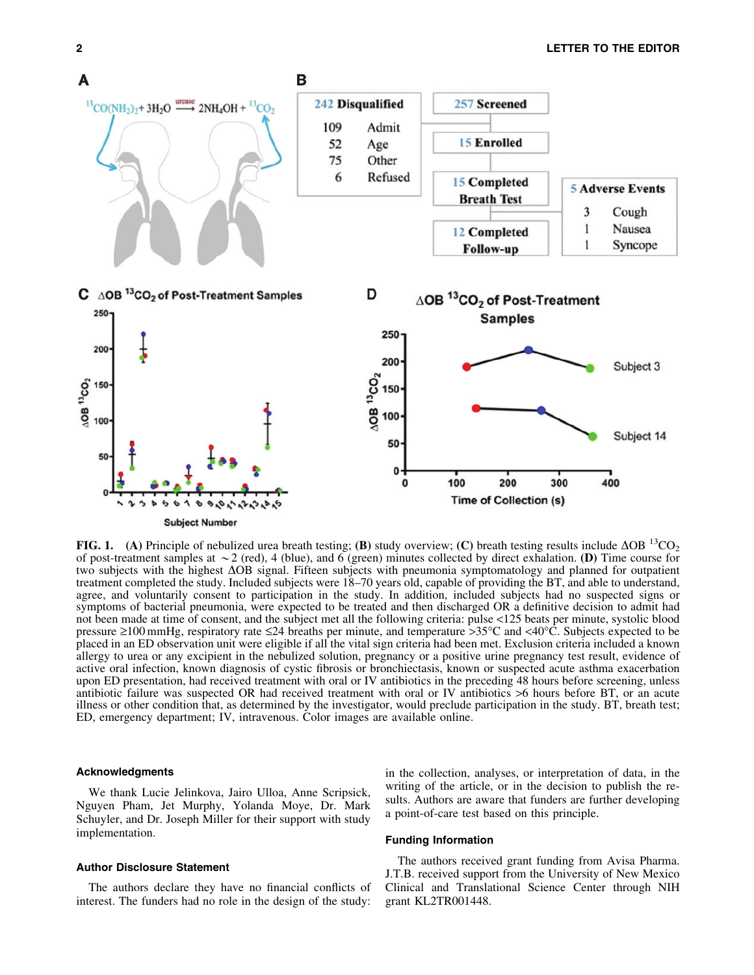

**FIG. 1.** (A) Principle of nebulized urea breath testing; (B) study overview; (C) breath testing results include  $\Delta$ OB  $^{13}$ CO<sub>2</sub> of post-treatment samples at  $\sim$  2 (red), 4 (blue), and 6 (green) minutes collected by direct exhalation. (D) Time course for two subjects with the highest  $\Delta$ OB signal. Fifteen subjects with pneumonia symptomatology and planned for outpatient treatment completed the study. Included subjects were 18–70 years old, capable of providing the BT, and able to understand, agree, and voluntarily consent to participation in the study. In addition, included subjects had no suspected signs or symptoms of bacterial pneumonia, were expected to be treated and then discharged OR a definitive decision to admit had not been made at time of consent, and the subject met all the following criteria: pulse <125 beats per minute, systolic blood pressure  $\geq$ 100 mmHg, respiratory rate  $\leq$ 24 breaths per minute, and temperature  $>$ 35°C and <40°C. Subjects expected to be placed in an ED observation unit were eligible if all the vital sign criteria had been met. Exclusion criteria included a known allergy to urea or any excipient in the nebulized solution, pregnancy or a positive urine pregnancy test result, evidence of active oral infection, known diagnosis of cystic fibrosis or bronchiectasis, known or suspected acute asthma exacerbation upon ED presentation, had received treatment with oral or IV antibiotics in the preceding 48 hours before screening, unless antibiotic failure was suspected OR had received treatment with oral or IV antibiotics >6 hours before BT, or an acute illness or other condition that, as determined by the investigator, would preclude participation in the study. BT, breath test; ED, emergency department; IV, intravenous. Color images are available online.

#### Acknowledgments

We thank Lucie Jelinkova, Jairo Ulloa, Anne Scripsick, Nguyen Pham, Jet Murphy, Yolanda Moye, Dr. Mark Schuyler, and Dr. Joseph Miller for their support with study implementation.

## Author Disclosure Statement

The authors declare they have no financial conflicts of interest. The funders had no role in the design of the study: in the collection, analyses, or interpretation of data, in the writing of the article, or in the decision to publish the results. Authors are aware that funders are further developing a point-of-care test based on this principle.

#### Funding Information

The authors received grant funding from Avisa Pharma. J.T.B. received support from the University of New Mexico Clinical and Translational Science Center through NIH grant KL2TR001448.